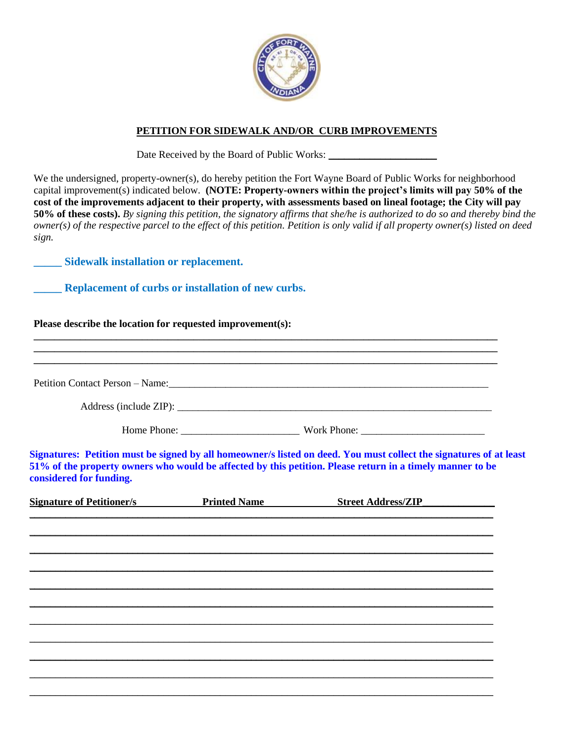

## **PETITION FOR SIDEWALK AND/OR CURB IMPROVEMENTS**

Date Received by the Board of Public Works:

We the undersigned, property-owner(s), do hereby petition the Fort Wayne Board of Public Works for neighborhood capital improvement(s) indicated below. **(NOTE: Property-owners within the project's limits will pay 50% of the cost of the improvements adjacent to their property, with assessments based on lineal footage; the City will pay 50% of these costs).** *By signing this petition, the signatory affirms that she/he is authorized to do so and thereby bind the owner(s) of the respective parcel to the effect of this petition. Petition is only valid if all property owner(s) listed on deed sign.*

**\_\_\_\_\_ Sidewalk installation or replacement.**

**\_\_\_\_\_ Replacement of curbs or installation of new curbs.** 

## **Please describe the location for requested improvement(s):**

|                                  |                     | Petition Contact Person – Name: 1988. The Contract Person – Name: 1988. The Contract Person – Name: 1988. The Contract Person – Name: 1988. The Contract Person – Name: 1988. The Contract Person – Name: 1988. The Contract P  |
|----------------------------------|---------------------|---------------------------------------------------------------------------------------------------------------------------------------------------------------------------------------------------------------------------------|
|                                  |                     |                                                                                                                                                                                                                                 |
|                                  |                     |                                                                                                                                                                                                                                 |
| considered for funding.          |                     | Signatures: Petition must be signed by all homeowner/s listed on deed. You must collect the signatures of at least<br>51% of the property owners who would be affected by this petition. Please return in a timely manner to be |
| <b>Signature of Petitioner/s</b> | <b>Printed Name</b> | <b>Street Address/ZIP</b>                                                                                                                                                                                                       |
|                                  |                     |                                                                                                                                                                                                                                 |
|                                  |                     |                                                                                                                                                                                                                                 |
|                                  |                     |                                                                                                                                                                                                                                 |
|                                  |                     |                                                                                                                                                                                                                                 |
|                                  |                     |                                                                                                                                                                                                                                 |
|                                  |                     |                                                                                                                                                                                                                                 |
|                                  |                     |                                                                                                                                                                                                                                 |

\_\_\_\_\_\_\_\_\_\_\_\_\_\_\_\_\_\_\_\_\_\_\_\_\_\_\_\_\_\_\_\_\_\_\_\_\_\_\_\_\_\_\_\_\_\_\_\_\_\_\_\_\_\_\_\_\_\_\_\_\_\_\_\_\_\_\_\_\_\_\_\_\_\_\_\_\_\_\_\_\_\_\_\_\_\_\_\_\_\_